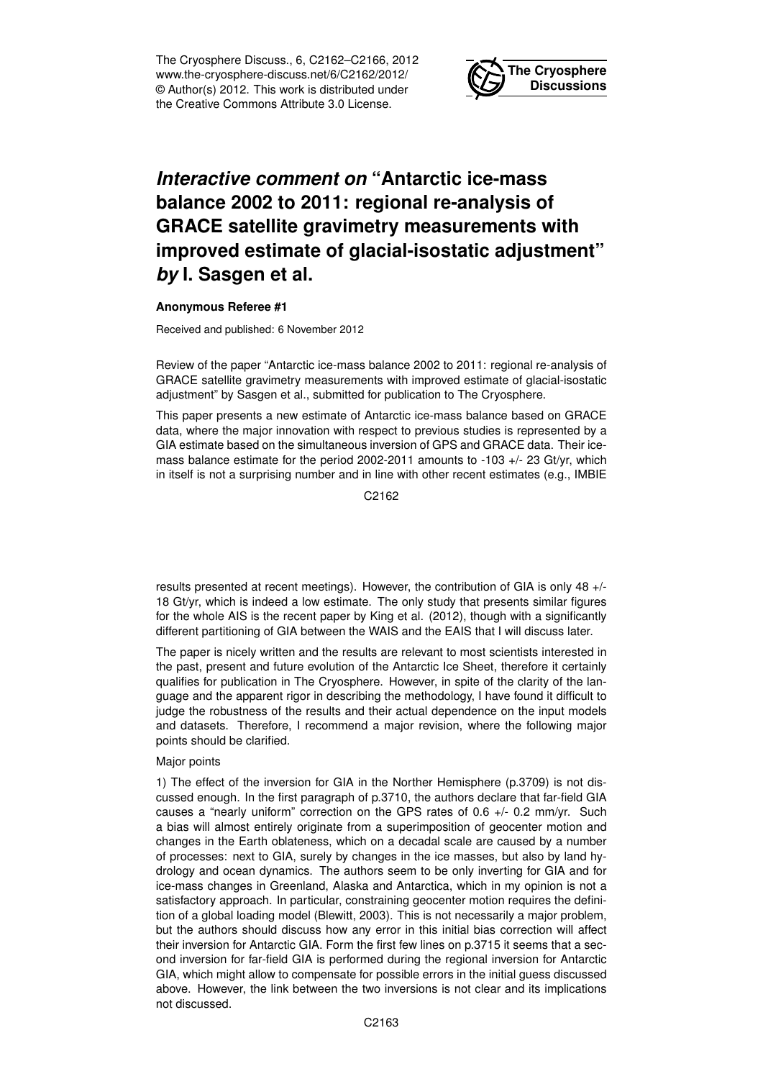The Cryosphere Discuss., 6, C2162–C2166, 2012 www.the-cryosphere-discuss.net/6/C2162/2012/ © Author(s) 2012. This work is distributed under the Creative Commons Attribute 3.0 License.



## *Interactive comment on* **"Antarctic ice-mass balance 2002 to 2011: regional re-analysis of GRACE satellite gravimetry measurements with improved estimate of glacial-isostatic adjustment"** *by* **I. Sasgen et al.**

## **Anonymous Referee #1**

Received and published: 6 November 2012

Review of the paper "Antarctic ice-mass balance 2002 to 2011: regional re-analysis of GRACE satellite gravimetry measurements with improved estimate of glacial-isostatic adjustment" by Sasgen et al., submitted for publication to The Cryosphere.

This paper presents a new estimate of Antarctic ice-mass balance based on GRACE data, where the major innovation with respect to previous studies is represented by a GIA estimate based on the simultaneous inversion of GPS and GRACE data. Their icemass balance estimate for the period 2002-2011 amounts to -103 +/- 23 Gt/yr, which in itself is not a surprising number and in line with other recent estimates (e.g., IMBIE

C2162

results presented at recent meetings). However, the contribution of GIA is only 48 +/- 18 Gt/yr, which is indeed a low estimate. The only study that presents similar figures for the whole AIS is the recent paper by King et al. (2012), though with a significantly different partitioning of GIA between the WAIS and the EAIS that I will discuss later.

The paper is nicely written and the results are relevant to most scientists interested in the past, present and future evolution of the Antarctic Ice Sheet, therefore it certainly qualifies for publication in The Cryosphere. However, in spite of the clarity of the language and the apparent rigor in describing the methodology, I have found it difficult to judge the robustness of the results and their actual dependence on the input models and datasets. Therefore, I recommend a major revision, where the following major points should be clarified.

## Major points

1) The effect of the inversion for GIA in the Norther Hemisphere (p.3709) is not discussed enough. In the first paragraph of p.3710, the authors declare that far-field GIA causes a "nearly uniform" correction on the GPS rates of 0.6 +/- 0.2 mm/yr. Such a bias will almost entirely originate from a superimposition of geocenter motion and changes in the Earth oblateness, which on a decadal scale are caused by a number of processes: next to GIA, surely by changes in the ice masses, but also by land hydrology and ocean dynamics. The authors seem to be only inverting for GIA and for ice-mass changes in Greenland, Alaska and Antarctica, which in my opinion is not a satisfactory approach. In particular, constraining geocenter motion requires the definition of a global loading model (Blewitt, 2003). This is not necessarily a major problem, but the authors should discuss how any error in this initial bias correction will affect their inversion for Antarctic GIA. Form the first few lines on p.3715 it seems that a second inversion for far-field GIA is performed during the regional inversion for Antarctic GIA, which might allow to compensate for possible errors in the initial guess discussed above. However, the link between the two inversions is not clear and its implications not discussed.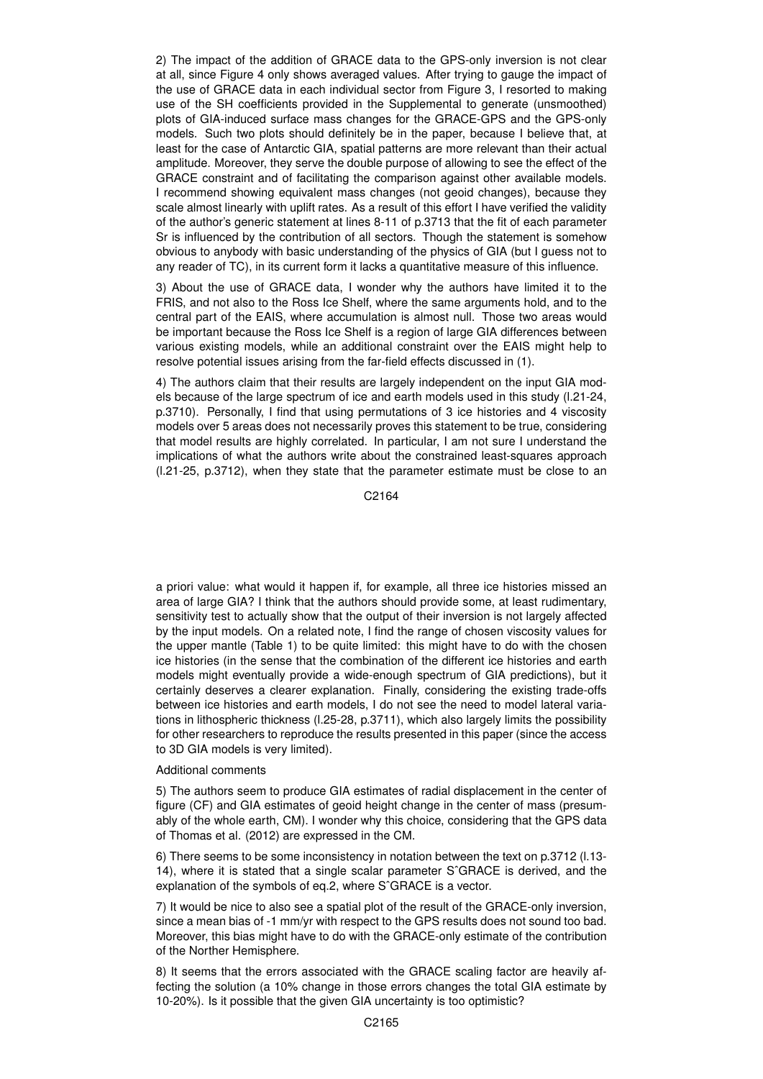2) The impact of the addition of GRACE data to the GPS-only inversion is not clear at all, since Figure 4 only shows averaged values. After trying to gauge the impact of the use of GRACE data in each individual sector from Figure 3, I resorted to making use of the SH coefficients provided in the Supplemental to generate (unsmoothed) plots of GIA-induced surface mass changes for the GRACE-GPS and the GPS-only models. Such two plots should definitely be in the paper, because I believe that, at least for the case of Antarctic GIA, spatial patterns are more relevant than their actual amplitude. Moreover, they serve the double purpose of allowing to see the effect of the GRACE constraint and of facilitating the comparison against other available models. I recommend showing equivalent mass changes (not geoid changes), because they scale almost linearly with uplift rates. As a result of this effort I have verified the validity of the author's generic statement at lines 8-11 of p.3713 that the fit of each parameter Sr is influenced by the contribution of all sectors. Though the statement is somehow obvious to anybody with basic understanding of the physics of GIA (but I guess not to any reader of TC), in its current form it lacks a quantitative measure of this influence.

3) About the use of GRACE data, I wonder why the authors have limited it to the FRIS, and not also to the Ross Ice Shelf, where the same arguments hold, and to the central part of the EAIS, where accumulation is almost null. Those two areas would be important because the Ross Ice Shelf is a region of large GIA differences between various existing models, while an additional constraint over the EAIS might help to resolve potential issues arising from the far-field effects discussed in (1).

4) The authors claim that their results are largely independent on the input GIA models because of the large spectrum of ice and earth models used in this study (l.21-24, p.3710). Personally, I find that using permutations of 3 ice histories and 4 viscosity models over 5 areas does not necessarily proves this statement to be true, considering that model results are highly correlated. In particular, I am not sure I understand the implications of what the authors write about the constrained least-squares approach (l.21-25, p.3712), when they state that the parameter estimate must be close to an

C2164

a priori value: what would it happen if, for example, all three ice histories missed an area of large GIA? I think that the authors should provide some, at least rudimentary, sensitivity test to actually show that the output of their inversion is not largely affected by the input models. On a related note, I find the range of chosen viscosity values for the upper mantle (Table 1) to be quite limited: this might have to do with the chosen ice histories (in the sense that the combination of the different ice histories and earth models might eventually provide a wide-enough spectrum of GIA predictions), but it certainly deserves a clearer explanation. Finally, considering the existing trade-offs between ice histories and earth models, I do not see the need to model lateral variations in lithospheric thickness (l.25-28, p.3711), which also largely limits the possibility for other researchers to reproduce the results presented in this paper (since the access to 3D GIA models is very limited).

## Additional comments

5) The authors seem to produce GIA estimates of radial displacement in the center of figure (CF) and GIA estimates of geoid height change in the center of mass (presumably of the whole earth, CM). I wonder why this choice, considering that the GPS data of Thomas et al. (2012) are expressed in the CM.

6) There seems to be some inconsistency in notation between the text on p.3712 (l.13- 14), where it is stated that a single scalar parameter SˆGRACE is derived, and the explanation of the symbols of eq.2, where SˆGRACE is a vector.

7) It would be nice to also see a spatial plot of the result of the GRACE-only inversion, since a mean bias of -1 mm/yr with respect to the GPS results does not sound too bad. Moreover, this bias might have to do with the GRACE-only estimate of the contribution of the Norther Hemisphere.

8) It seems that the errors associated with the GRACE scaling factor are heavily affecting the solution (a 10% change in those errors changes the total GIA estimate by 10-20%). Is it possible that the given GIA uncertainty is too optimistic?